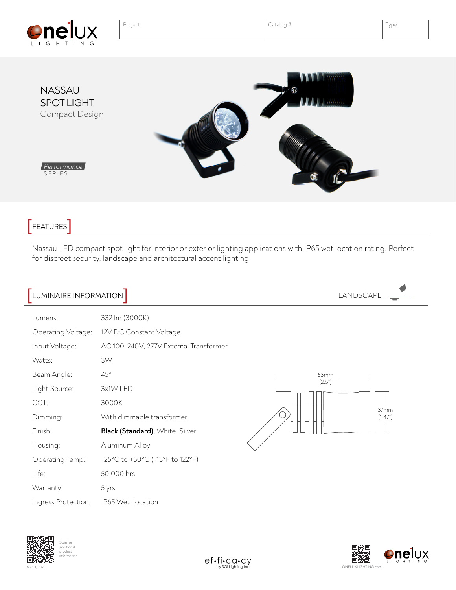

| <b>nel</b> ux<br>GHTING                       | Project | Catalog #                                                                      | Type |
|-----------------------------------------------|---------|--------------------------------------------------------------------------------|------|
| NASSAU<br><b>SPOT LIGHT</b><br>Compact Design |         | 11111111<br>$\boldsymbol{\odot}$<br>$\prod_{i=1}^n \prod_{j=1}^n \binom{n}{j}$ |      |

*Performance* SERIES

## -<br>FEATURES<sup>T</sup>

Nassau LED compact spot light for interior or exterior lighting applications with IP65 wet location rating. Perfect for discreet security, landscape and architectural accent lighting.

 $\vec{a}$ 

| LUMINAIRE INFORMATION                                                                     |                                                                                                                       | LANDSCAPE                        |  |
|-------------------------------------------------------------------------------------------|-----------------------------------------------------------------------------------------------------------------------|----------------------------------|--|
| Lumens:<br>Operating Voltage:<br>Input Voltage:<br>Watts:<br>Beam Angle:<br>Light Source: | 332 lm (3000K)<br>12V DC Constant Voltage<br>AC 100-240V, 277V External Transformer<br>3W<br>$45^{\circ}$<br>3x1W LED | 63mm<br>(2.5")<br>37mm<br>(1.47) |  |
| CCT:<br>Dimming:                                                                          | 3000K<br>With dimmable transformer                                                                                    |                                  |  |
| Finish:<br>Housing:                                                                       | Black (Standard), White, Silver<br>Aluminum Alloy                                                                     |                                  |  |
| Operating Temp.:<br>Life:                                                                 | -25°C to +50°C (-13°F to 122°F)<br>50,000 hrs                                                                         |                                  |  |
| Warranty:<br>Ingress Protection:                                                          | 5 yrs<br>IP65 Wet Location                                                                                            |                                  |  |